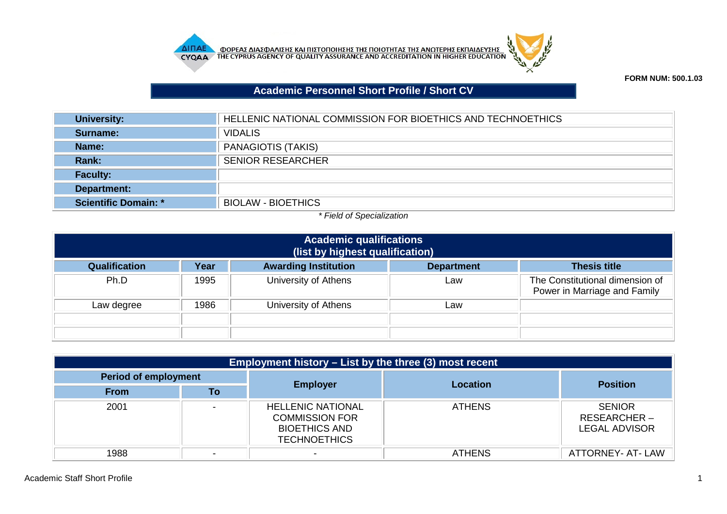



## **Academic Personnel Short Profile / Short CV**

| <b>University:</b>   | HELLENIC NATIONAL COMMISSION FOR BIOETHICS AND TECHNOETHICS |
|----------------------|-------------------------------------------------------------|
| Surname:             | <b>VIDALIS</b>                                              |
| Name:                | PANAGIOTIS (TAKIS)                                          |
| <b>Rank:</b>         | <b>SENIOR RESEARCHER</b>                                    |
| <b>Faculty:</b>      |                                                             |
| Department:          |                                                             |
| Scientific Domain: * | <b>BIOLAW - BIOETHICS</b>                                   |

## *\* Field of Specialization*

| <b>Academic qualifications</b><br>(list by highest qualification) |      |                             |                   |                                                                 |  |
|-------------------------------------------------------------------|------|-----------------------------|-------------------|-----------------------------------------------------------------|--|
| <b>Qualification</b>                                              | Year | <b>Awarding Institution</b> | <b>Department</b> | <b>Thesis title</b>                                             |  |
| Ph.D                                                              | 1995 | University of Athens        | Law               | The Constitutional dimension of<br>Power in Marriage and Family |  |
| Law degree                                                        | 1986 | University of Athens        | Law               |                                                                 |  |
|                                                                   |      |                             |                   |                                                                 |  |
|                                                                   |      |                             |                   |                                                                 |  |

| Employment history – List by the three (3) most recent |    |                                                                                                  |                 |                                                      |  |  |
|--------------------------------------------------------|----|--------------------------------------------------------------------------------------------------|-----------------|------------------------------------------------------|--|--|
| <b>Period of employment</b>                            |    | <b>Employer</b>                                                                                  | <b>Location</b> |                                                      |  |  |
| <b>From</b>                                            | Τo |                                                                                                  |                 | <b>Position</b>                                      |  |  |
| 2001                                                   |    | <b>HELLENIC NATIONAL</b><br><b>COMMISSION FOR</b><br><b>BIOETHICS AND</b><br><b>TECHNOETHICS</b> | <b>ATHENS</b>   | <b>SENIOR</b><br>RESEARCHER-<br><b>LEGAL ADVISOR</b> |  |  |
| 1988                                                   |    |                                                                                                  | <b>ATHENS</b>   | ATTORNEY- AT-LAW                                     |  |  |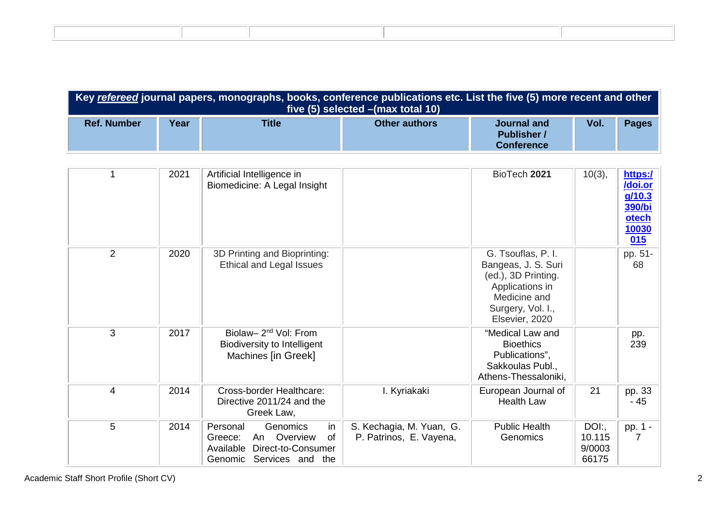| Key refereed journal papers, monographs, books, conference publications etc. List the five (5) more recent and other<br>five $(5)$ selected $-$ (max total 10) |      |              |                      |                                                        |      |       |  |
|----------------------------------------------------------------------------------------------------------------------------------------------------------------|------|--------------|----------------------|--------------------------------------------------------|------|-------|--|
| <b>Ref. Number</b>                                                                                                                                             | Year | <b>Title</b> | <b>Other authors</b> | Journal and<br><b>Publisher</b> /<br><b>Conference</b> | Vol. | Pages |  |

|                | 2021 | Artificial Intelligence in<br>Biomedicine: A Legal Insight                                                                   |                                                     | BioTech 2021                                                                                                                               | $10(3)$ ,                         | https:/<br>/doi.or<br>g/10.3<br>390/bi<br><b>otech</b><br><u>10030</u><br>015 |
|----------------|------|------------------------------------------------------------------------------------------------------------------------------|-----------------------------------------------------|--------------------------------------------------------------------------------------------------------------------------------------------|-----------------------------------|-------------------------------------------------------------------------------|
| 2              | 2020 | 3D Printing and Bioprinting:<br><b>Ethical and Legal Issues</b>                                                              |                                                     | G. Tsouflas, P. I.<br>Bangeas, J. S. Suri<br>(ed.), 3D Printing.<br>Applications in<br>Medicine and<br>Surgery, Vol. I.,<br>Elsevier, 2020 |                                   | pp. 51-<br>68                                                                 |
| 3              | 2017 | Biolaw-2 <sup>nd</sup> Vol: From<br>Biodiversity to Intelligent<br>Machines [in Greek]                                       |                                                     | "Medical Law and<br><b>Bioethics</b><br>Publications",<br>Sakkoulas Publ.,<br>Athens-Thessaloniki,                                         |                                   | pp.<br>239                                                                    |
| $\overline{4}$ | 2014 | Cross-border Healthcare:<br>Directive 2011/24 and the<br>Greek Law,                                                          | I. Kyriakaki                                        | European Journal of<br><b>Health Law</b>                                                                                                   | 21                                | pp. 33<br>- 45                                                                |
| 5              | 2014 | in<br>Genomics<br>Personal<br>Overview<br>0f<br>Greece:<br>An<br>Direct-to-Consumer<br>Available<br>Genomic Services and the | S. Kechagia, M. Yuan, G.<br>P. Patrinos, E. Vayena, | <b>Public Health</b><br>Genomics                                                                                                           | DOL:<br>10.115<br>9/0003<br>66175 | pp. 1 -<br>7                                                                  |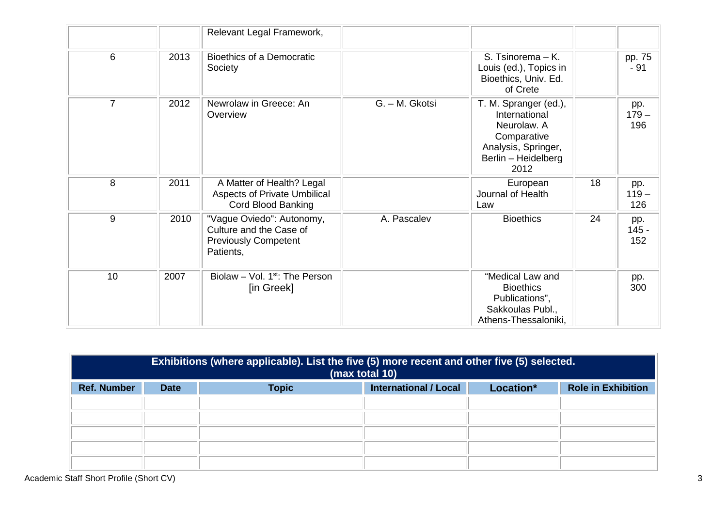|                |      | Relevant Legal Framework,                                                                        |                |                                                                                                                            |    |                       |
|----------------|------|--------------------------------------------------------------------------------------------------|----------------|----------------------------------------------------------------------------------------------------------------------------|----|-----------------------|
| 6              | 2013 | <b>Bioethics of a Democratic</b><br>Society                                                      |                | S. Tsinorema - K.<br>Louis (ed.), Topics in<br>Bioethics, Univ. Ed.<br>of Crete                                            |    | pp. 75<br>$-91$       |
| $\overline{7}$ | 2012 | Newrolaw in Greece: An<br>Overview                                                               | G. - M. Gkotsi | T. M. Spranger (ed.),<br>International<br>Neurolaw. A<br>Comparative<br>Analysis, Springer,<br>Berlin - Heidelberg<br>2012 |    | pp.<br>$179 -$<br>196 |
| 8              | 2011 | A Matter of Health? Legal<br><b>Aspects of Private Umbilical</b><br>Cord Blood Banking           |                | European<br>Journal of Health<br>Law                                                                                       | 18 | pp.<br>$119 -$<br>126 |
| 9              | 2010 | "Vague Oviedo": Autonomy,<br>Culture and the Case of<br><b>Previously Competent</b><br>Patients, | A. Pascalev    | <b>Bioethics</b>                                                                                                           | 24 | pp.<br>$145 -$<br>152 |
| 10             | 2007 | Biolaw – Vol. $1st$ : The Person<br>[in Greek]                                                   |                | "Medical Law and<br><b>Bioethics</b><br>Publications",<br>Sakkoulas Publ.,<br>Athens-Thessaloniki,                         |    | pp.<br>300            |

| Exhibitions (where applicable). List the five (5) more recent and other five (5) selected.<br>(max total 10) |             |              |                              |           |                           |  |
|--------------------------------------------------------------------------------------------------------------|-------------|--------------|------------------------------|-----------|---------------------------|--|
| <b>Ref. Number</b>                                                                                           | <b>Date</b> | <b>Topic</b> | <b>International / Local</b> | Location* | <b>Role in Exhibition</b> |  |
|                                                                                                              |             |              |                              |           |                           |  |
|                                                                                                              |             |              |                              |           |                           |  |
|                                                                                                              |             |              |                              |           |                           |  |
|                                                                                                              |             |              |                              |           |                           |  |
|                                                                                                              |             |              |                              |           |                           |  |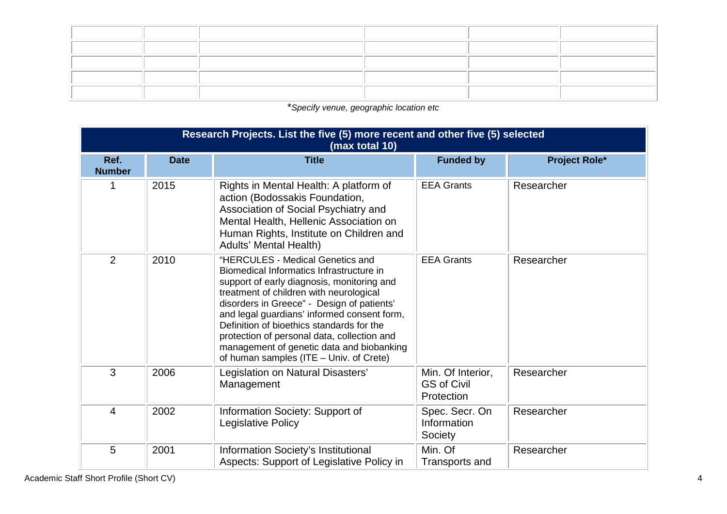\**Specify venue, geographic location etc*

| Research Projects. List the five (5) more recent and other five (5) selected<br>(max total 10) |             |                                                                                                                                                                                                                                                                                                                                                                                                                                                        |                                                       |                      |  |  |
|------------------------------------------------------------------------------------------------|-------------|--------------------------------------------------------------------------------------------------------------------------------------------------------------------------------------------------------------------------------------------------------------------------------------------------------------------------------------------------------------------------------------------------------------------------------------------------------|-------------------------------------------------------|----------------------|--|--|
| Ref.<br><b>Number</b>                                                                          | <b>Date</b> | <b>Title</b>                                                                                                                                                                                                                                                                                                                                                                                                                                           | <b>Funded by</b>                                      | <b>Project Role*</b> |  |  |
| 1                                                                                              | 2015        | Rights in Mental Health: A platform of<br>action (Bodossakis Foundation,<br>Association of Social Psychiatry and<br>Mental Health, Hellenic Association on<br>Human Rights, Institute on Children and<br><b>Adults' Mental Health)</b>                                                                                                                                                                                                                 | <b>EEA Grants</b>                                     | Researcher           |  |  |
| 2                                                                                              | 2010        | "HERCULES - Medical Genetics and<br>Biomedical Informatics Infrastructure in<br>support of early diagnosis, monitoring and<br>treatment of children with neurological<br>disorders in Greece" - Design of patients'<br>and legal guardians' informed consent form,<br>Definition of bioethics standards for the<br>protection of personal data, collection and<br>management of genetic data and biobanking<br>of human samples (ITE - Univ. of Crete) | <b>EEA Grants</b>                                     | Researcher           |  |  |
| 3                                                                                              | 2006        | Legislation on Natural Disasters'<br>Management                                                                                                                                                                                                                                                                                                                                                                                                        | Min. Of Interior,<br><b>GS of Civil</b><br>Protection | Researcher           |  |  |
| $\overline{4}$                                                                                 | 2002        | Information Society: Support of<br>Legislative Policy                                                                                                                                                                                                                                                                                                                                                                                                  | Spec. Secr. On<br>Information<br>Society              | Researcher           |  |  |
| 5                                                                                              | 2001        | Information Society's Institutional<br>Aspects: Support of Legislative Policy in                                                                                                                                                                                                                                                                                                                                                                       | Min. Of<br>Transports and                             | Researcher           |  |  |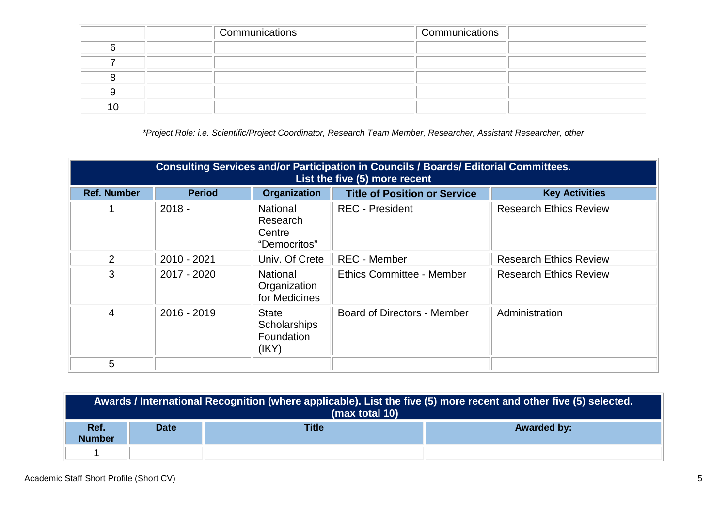|     | Communications | Communications |  |
|-----|----------------|----------------|--|
|     |                |                |  |
|     |                |                |  |
|     |                |                |  |
|     |                |                |  |
| ח ו |                |                |  |

*\*Project Role: i.e. Scientific/Project Coordinator, Research Team Member, Researcher, Assistant Researcher, other*

| <b>Consulting Services and/or Participation in Councils / Boards/ Editorial Committees.</b><br>List the five (5) more recent |               |                                                       |                                     |                               |  |
|------------------------------------------------------------------------------------------------------------------------------|---------------|-------------------------------------------------------|-------------------------------------|-------------------------------|--|
| <b>Ref. Number</b>                                                                                                           | <b>Period</b> | <b>Organization</b>                                   | <b>Title of Position or Service</b> | <b>Key Activities</b>         |  |
|                                                                                                                              | $2018 -$      | <b>National</b><br>Research<br>Centre<br>"Democritos" | <b>REC</b> - President              | <b>Research Ethics Review</b> |  |
| 2                                                                                                                            | 2010 - 2021   | Univ. Of Crete                                        | <b>REC</b> - Member                 | <b>Research Ethics Review</b> |  |
| 3                                                                                                                            | 2017 - 2020   | <b>National</b><br>Organization<br>for Medicines      | Ethics Committee - Member           | <b>Research Ethics Review</b> |  |
| 4                                                                                                                            | 2016 - 2019   | <b>State</b><br>Scholarships<br>Foundation<br>(IKY)   | <b>Board of Directors - Member</b>  | Administration                |  |
| 5                                                                                                                            |               |                                                       |                                     |                               |  |

| Awards / International Recognition (where applicable). List the five (5) more recent and other five (5) selected.<br>(max total 10) |             |              |                    |  |  |  |  |
|-------------------------------------------------------------------------------------------------------------------------------------|-------------|--------------|--------------------|--|--|--|--|
| Ref.<br><b>Number</b>                                                                                                               | <b>Date</b> | <b>Title</b> | <b>Awarded by:</b> |  |  |  |  |
|                                                                                                                                     |             |              |                    |  |  |  |  |